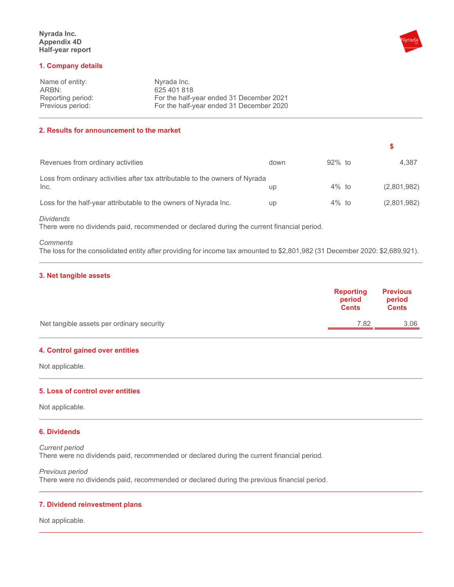

#### **1. Company details**

| Name of entity:   | Nyrada Inc.                              |
|-------------------|------------------------------------------|
| ARBN:             | 625 401 818                              |
| Reporting period: | For the half-year ended 31 December 2021 |
| Previous period:  | For the half-year ended 31 December 2020 |

## **2. Results for announcement to the market**

| Revenues from ordinary activities                                                    | down      | $92\%$ to | 4.387       |
|--------------------------------------------------------------------------------------|-----------|-----------|-------------|
| Loss from ordinary activities after tax attributable to the owners of Nyrada<br>Inc. | up        | $4\%$ to  | (2,801,982) |
| Loss for the half-year attributable to the owners of Nyrada Inc.                     | <b>up</b> | $4\%$ to  | (2,801,982) |

*Dividends* 

There were no dividends paid, recommended or declared during the current financial period.

#### *Comments*

The loss for the consolidated entity after providing for income tax amounted to \$2,801,982 (31 December 2020: \$2,689,921).

## **3. Net tangible assets**

|                                           | <b>Reporting</b><br>period<br><b>Cents</b> | <b>Previous</b><br>period<br><b>Cents</b> |
|-------------------------------------------|--------------------------------------------|-------------------------------------------|
| Net tangible assets per ordinary security | 7.82                                       | 3.06                                      |

## **4. Control gained over entities**

Not applicable.

#### **5. Loss of control over entities**

Not applicable.

#### **6. Dividends**

*Current period*  There were no dividends paid, recommended or declared during the current financial period.

*Previous period*  There were no dividends paid, recommended or declared during the previous financial period.

## **7. Dividend reinvestment plans**

Not applicable.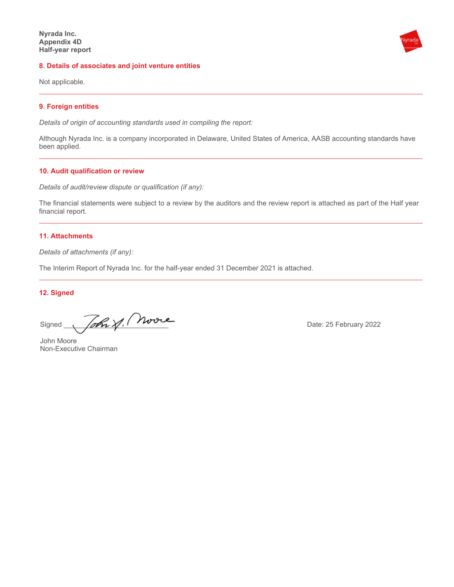#### **8. Details of associates and joint venture entities**

Not applicable.

## **9. Foreign entities**

*Details of origin of accounting standards used in compiling the report:* 

Although Nyrada Inc. is a company incorporated in Delaware, United States of America, AASB accounting standards have been applied.

## **10. Audit qualification or review**

*Details of audit/review dispute or qualification (if any):* 

The financial statements were subject to a review by the auditors and the review report is attached as part of the Half year financial report.

### **11. Attachments**

*Details of attachments (if any):* 

The Interim Report of Nyrada Inc. for the half-year ended 31 December 2021 is attached.

## **12. Signed**

Signed  $\sqrt{6\hbar\chi}$   $\sqrt{100000}$ 

John Moore Non-Executive Chairman

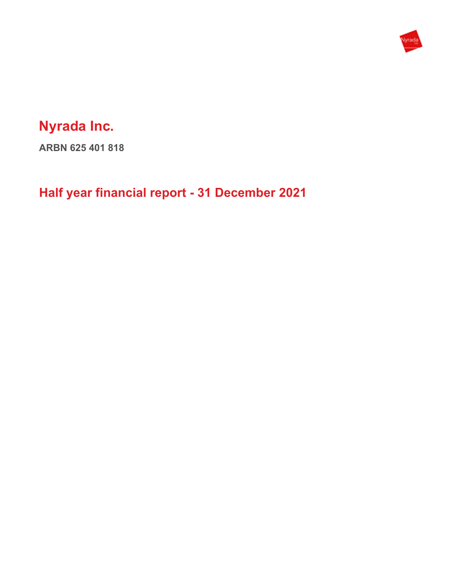

# **Nyrada Inc.**

**ARBN 625 401 818** 

**Half year financial report - 31 December 2021**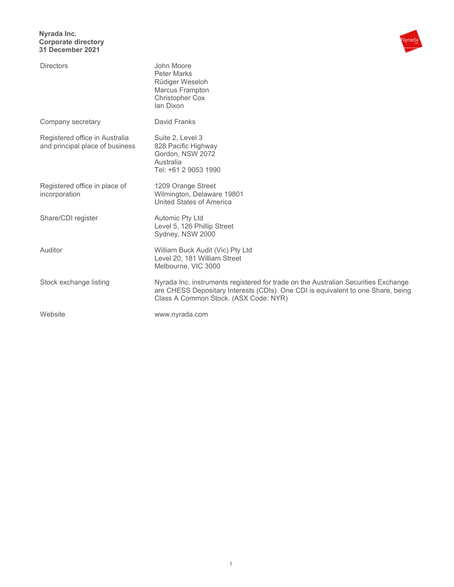## **Nyrada Inc. Corporate directory 31 December 2021**



| <b>Directors</b>                                                  | John Moore<br><b>Peter Marks</b><br>Rüdiger Weseloh<br>Marcus Frampton<br><b>Christopher Cox</b><br>lan Dixon                                                                                                   |
|-------------------------------------------------------------------|-----------------------------------------------------------------------------------------------------------------------------------------------------------------------------------------------------------------|
| Company secretary                                                 | David Franks                                                                                                                                                                                                    |
| Registered office in Australia<br>and principal place of business | Suite 2, Level 3<br>828 Pacific Highway<br>Gordon, NSW 2072<br>Australia<br>Tel: +61 2 9053 1990                                                                                                                |
| Registered office in place of<br>incorporation                    | 1209 Orange Street<br>Wilmington, Delaware 19801<br>United States of America                                                                                                                                    |
| Share/CDI register                                                | <b>Automic Pty Ltd</b><br>Level 5, 126 Phillip Street<br>Sydney, NSW 2000                                                                                                                                       |
| Auditor                                                           | William Buck Audit (Vic) Pty Ltd<br>Level 20, 181 William Street<br>Melbourne, VIC 3000                                                                                                                         |
| Stock exchange listing                                            | Nyrada Inc. instruments registered for trade on the Australian Securities Exchange<br>are CHESS Depositary Interests (CDIs). One CDI is equivalent to one Share, being<br>Class A Common Stock. (ASX Code: NYR) |
| Website                                                           | www.nyrada.com                                                                                                                                                                                                  |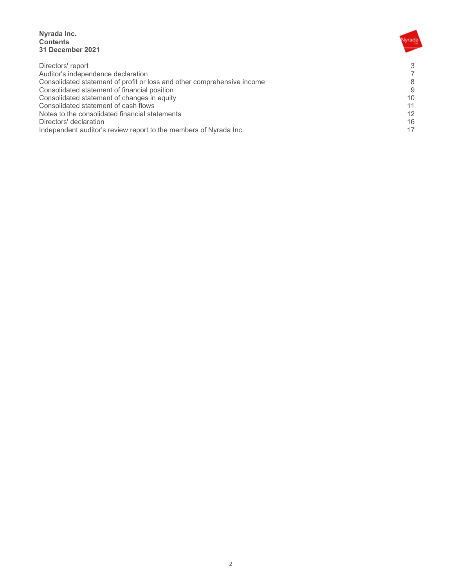**Nyrada Inc. Contents 31 December 2021** 

| Directors' report                                                       | 3  |
|-------------------------------------------------------------------------|----|
| Auditor's independence declaration                                      |    |
| Consolidated statement of profit or loss and other comprehensive income | 8  |
| Consolidated statement of financial position                            | 9  |
| Consolidated statement of changes in equity                             | 10 |
| Consolidated statement of cash flows                                    | 11 |
| Notes to the consolidated financial statements                          | 12 |
| Directors' declaration                                                  | 16 |
| Independent auditor's review report to the members of Nyrada Inc.       |    |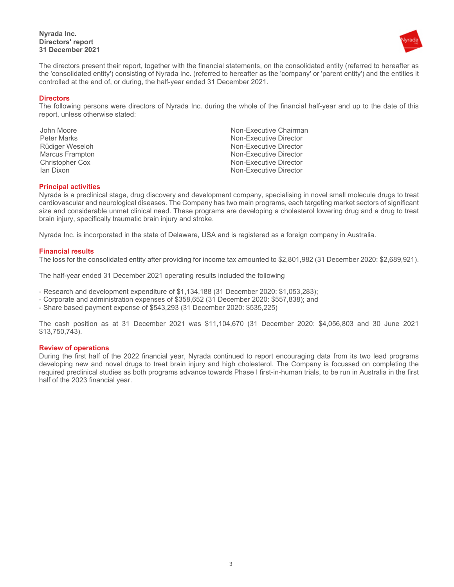

The directors present their report, together with the financial statements, on the consolidated entity (referred to hereafter as the 'consolidated entity') consisting of Nyrada Inc. (referred to hereafter as the 'company' or 'parent entity') and the entities it controlled at the end of, or during, the half-year ended 31 December 2021.

## **Directors**

The following persons were directors of Nyrada Inc. during the whole of the financial half-year and up to the date of this report, unless otherwise stated:

John Moore **Non-Executive Chairman** Peter Marks Non-Executive Director Rüdiger Weseloh Non-Executive Director Marcus Frampton **Non-Executive Director** Non-Executive Director Christopher Cox Non-Executive Director Non-Executive Director

## **Principal activities**

Nyrada is a preclinical stage, drug discovery and development company, specialising in novel small molecule drugs to treat cardiovascular and neurological diseases. The Company has two main programs, each targeting market sectors of significant size and considerable unmet clinical need. These programs are developing a cholesterol lowering drug and a drug to treat brain injury, specifically traumatic brain injury and stroke.

Nyrada Inc. is incorporated in the state of Delaware, USA and is registered as a foreign company in Australia.

## **Financial results**

The loss for the consolidated entity after providing for income tax amounted to \$2,801,982 (31 December 2020: \$2,689,921).

The half-year ended 31 December 2021 operating results included the following

- Research and development expenditure of \$1,134,188 (31 December 2020: \$1,053,283);
- Corporate and administration expenses of \$358,652 (31 December 2020: \$557,838); and
- Share based payment expense of \$543,293 (31 December 2020: \$535,225)

The cash position as at 31 December 2021 was \$11,104,670 (31 December 2020: \$4,056,803 and 30 June 2021 \$13,750,743).

#### **Review of operations**

During the first half of the 2022 financial year, Nyrada continued to report encouraging data from its two lead programs developing new and novel drugs to treat brain injury and high cholesterol. The Company is focussed on completing the required preclinical studies as both programs advance towards Phase I first-in-human trials, to be run in Australia in the first half of the 2023 financial year.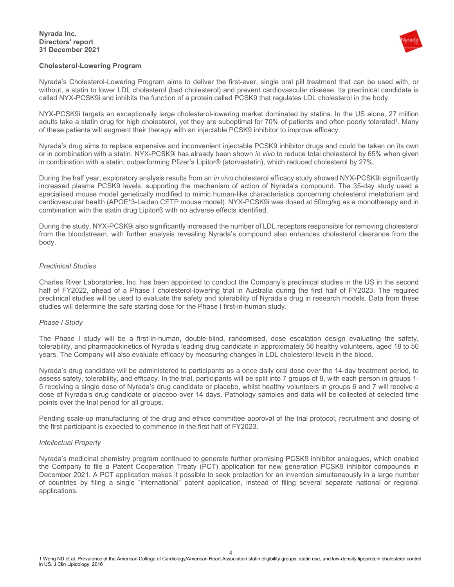#### **Nyrada Inc. Directors' report 31 December 2021**



## **Cholesterol-Lowering Program**

Nyrada's Cholesterol-Lowering Program aims to deliver the first-ever, single oral pill treatment that can be used with, or without, a statin to lower LDL cholesterol (bad cholesterol) and prevent cardiovascular disease. Its preclinical candidate is called NYX-PCSK9i and inhibits the function of a protein called PCSK9 that regulates LDL cholesterol in the body.

NYX-PCSK9i targets an exceptionally large cholesterol-lowering market dominated by statins. In the US alone, 27 million adults take a statin drug for high cholesterol, yet they are suboptimal for 70% of patients and often poorly tolerated<sup>1</sup>. Many of these patients will augment their therapy with an injectable PCSK9 inhibitor to improve efficacy.

Nyrada's drug aims to replace expensive and inconvenient injectable PCSK9 inhibitor drugs and could be taken on its own or in combination with a statin. NYX-PCSK9i has already been shown *in vivo* to reduce total cholesterol by 65% when given in combination with a statin, outperforming Pfizer's Lipitor® (atorvastatin), which reduced cholesterol by 27%.

During the half year, exploratory analysis results from an *in vivo* cholesterol efficacy study showed NYX-PCSK9i significantly increased plasma PCSK9 levels, supporting the mechanism of action of Nyrada's compound. The 35-day study used a specialised mouse model genetically modified to mimic human-like characteristics concerning cholesterol metabolism and cardiovascular health (APOE\*3-Leiden.CETP mouse model). NYX-PCSK9i was dosed at 50mg/kg as a monotherapy and in combination with the statin drug Lipitor® with no adverse effects identified.

During the study, NYX-PCSK9i also significantly increased the number of LDL receptors responsible for removing cholesterol from the bloodstream, with further analysis revealing Nyrada's compound also enhances cholesterol clearance from the body.

## *Preclinical Studies*

Charles River Laboratories, Inc. has been appointed to conduct the Company's preclinical studies in the US in the second half of FY2022, ahead of a Phase I cholesterol-lowering trial in Australia during the first half of FY2023. The required preclinical studies will be used to evaluate the safety and tolerability of Nyrada's drug in research models. Data from these studies will determine the safe starting dose for the Phase I first-in-human study.

## *Phase I Study*

The Phase I study will be a first-in-human, double-blind, randomised, dose escalation design evaluating the safety, tolerability, and pharmacokinetics of Nyrada's leading drug candidate in approximately 56 healthy volunteers, aged 18 to 50 years. The Company will also evaluate efficacy by measuring changes in LDL cholesterol levels in the blood.

Nyrada's drug candidate will be administered to participants as a once daily oral dose over the 14-day treatment period, to assess safety, tolerability, and efficacy. In the trial, participants will be split into 7 groups of 8, with each person in groups 1- 5 receiving a single dose of Nyrada's drug candidate or placebo, whilst healthy volunteers in groups 6 and 7 will receive a dose of Nyrada's drug candidate or placebo over 14 days. Pathology samples and data will be collected at selected time points over the trial period for all groups.

Pending scale-up manufacturing of the drug and ethics committee approval of the trial protocol, recruitment and dosing of the first participant is expected to commence in the first half of FY2023.

#### *Intellectual Property*

Nyrada's medicinal chemistry program continued to generate further promising PCSK9 inhibitor analogues, which enabled the Company to file a Patent Cooperation Treaty (PCT) application for new generation PCSK9 inhibitor compounds in December 2021. A PCT application makes it possible to seek protection for an invention simultaneously in a large number of countries by filing a single "international" patent application, instead of filing several separate national or regional applications.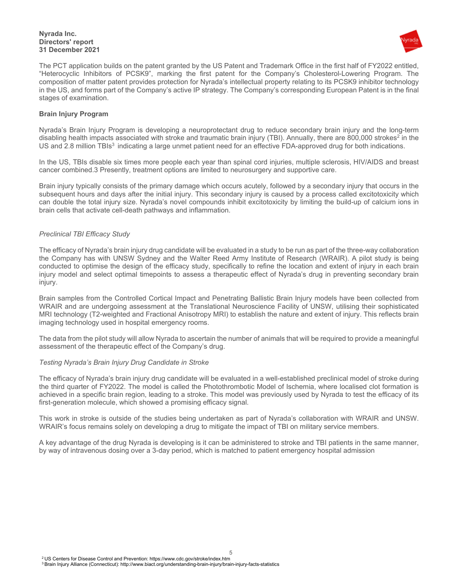

The PCT application builds on the patent granted by the US Patent and Trademark Office in the first half of FY2022 entitled, "Heterocyclic Inhibitors of PCSK9", marking the first patent for the Company's Cholesterol-Lowering Program. The composition of matter patent provides protection for Nyrada's intellectual property relating to its PCSK9 inhibitor technology in the US, and forms part of the Company's active IP strategy. The Company's corresponding European Patent is in the final stages of examination.

## **Brain Injury Program**

Nyrada's Brain Injury Program is developing a neuroprotectant drug to reduce secondary brain injury and the long-term disabling health impacts associated with stroke and traumatic brain injury (TBI). Annually, there are 800,000 strokes<sup>2</sup> in the US and 2.8 million TBIs<sup>3</sup> indicating a large unmet patient need for an effective FDA-approved drug for both indications.

In the US, TBIs disable six times more people each year than spinal cord injuries, multiple sclerosis, HIV/AIDS and breast cancer combined.3 Presently, treatment options are limited to neurosurgery and supportive care.

Brain injury typically consists of the primary damage which occurs acutely, followed by a secondary injury that occurs in the subsequent hours and days after the initial injury. This secondary injury is caused by a process called excitotoxicity which can double the total injury size. Nyrada's novel compounds inhibit excitotoxicity by limiting the build-up of calcium ions in brain cells that activate cell-death pathways and inflammation.

## *Preclinical TBI Efficacy Study*

The efficacy of Nyrada's brain injury drug candidate will be evaluated in a study to be run as part of the three-way collaboration the Company has with UNSW Sydney and the Walter Reed Army Institute of Research (WRAIR). A pilot study is being conducted to optimise the design of the efficacy study, specifically to refine the location and extent of injury in each brain injury model and select optimal timepoints to assess a therapeutic effect of Nyrada's drug in preventing secondary brain injury.

Brain samples from the Controlled Cortical Impact and Penetrating Ballistic Brain Injury models have been collected from WRAIR and are undergoing assessment at the Translational Neuroscience Facility of UNSW, utilising their sophisticated MRI technology (T2-weighted and Fractional Anisotropy MRI) to establish the nature and extent of injury. This reflects brain imaging technology used in hospital emergency rooms.

The data from the pilot study will allow Nyrada to ascertain the number of animals that will be required to provide a meaningful assessment of the therapeutic effect of the Company's drug.

#### *Testing Nyrada's Brain Injury Drug Candidate in Stroke*

The efficacy of Nyrada's brain injury drug candidate will be evaluated in a well-established preclinical model of stroke during the third quarter of FY2022. The model is called the Photothrombotic Model of Ischemia, where localised clot formation is achieved in a specific brain region, leading to a stroke. This model was previously used by Nyrada to test the efficacy of its first-generation molecule, which showed a promising efficacy signal.

This work in stroke is outside of the studies being undertaken as part of Nyrada's collaboration with WRAIR and UNSW. WRAIR's focus remains solely on developing a drug to mitigate the impact of TBI on military service members.

A key advantage of the drug Nyrada is developing is it can be administered to stroke and TBI patients in the same manner, by way of intravenous dosing over a 3-day period, which is matched to patient emergency hospital admission

5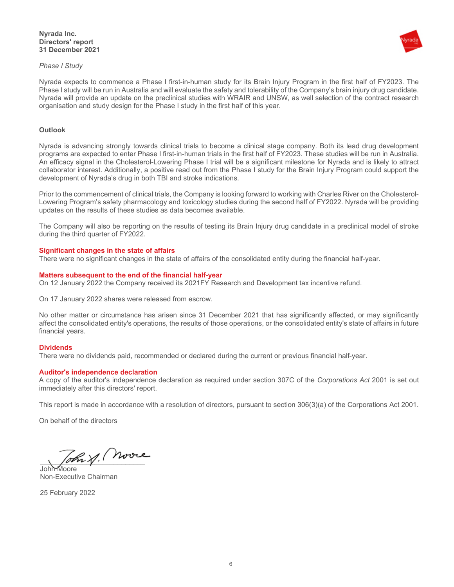



Nyrada expects to commence a Phase I first-in-human study for its Brain Injury Program in the first half of FY2023. The Phase I study will be run in Australia and will evaluate the safety and tolerability of the Company's brain injury drug candidate. Nyrada will provide an update on the preclinical studies with WRAIR and UNSW, as well selection of the contract research organisation and study design for the Phase I study in the first half of this year.

## **Outlook**

Nyrada is advancing strongly towards clinical trials to become a clinical stage company. Both its lead drug development programs are expected to enter Phase I first-in-human trials in the first half of FY2023. These studies will be run in Australia. An efficacy signal in the Cholesterol-Lowering Phase I trial will be a significant milestone for Nyrada and is likely to attract collaborator interest. Additionally, a positive read out from the Phase I study for the Brain Injury Program could support the development of Nyrada's drug in both TBI and stroke indications.

Prior to the commencement of clinical trials, the Company is looking forward to working with Charles River on the Cholesterol-Lowering Program's safety pharmacology and toxicology studies during the second half of FY2022. Nyrada will be providing updates on the results of these studies as data becomes available.

The Company will also be reporting on the results of testing its Brain Injury drug candidate in a preclinical model of stroke during the third quarter of FY2022.

## **Significant changes in the state of affairs**

There were no significant changes in the state of affairs of the consolidated entity during the financial half-year.

#### **Matters subsequent to the end of the financial half-year**

On 12 January 2022 the Company received its 2021FY Research and Development tax incentive refund.

On 17 January 2022 shares were released from escrow.

No other matter or circumstance has arisen since 31 December 2021 that has significantly affected, or may significantly affect the consolidated entity's operations, the results of those operations, or the consolidated entity's state of affairs in future financial years.

#### **Dividends**

There were no dividends paid, recommended or declared during the current or previous financial half-year.

#### **Auditor's independence declaration**

A copy of the auditor's independence declaration as required under section 307C of the *Corporations Act* 2001 is set out immediately after this directors' report.

This report is made in accordance with a resolution of directors, pursuant to section 306(3)(a) of the Corporations Act 2001.

On behalf of the directors

oh y. Moore

John Moore Non-Executive Chairman

25 February 2022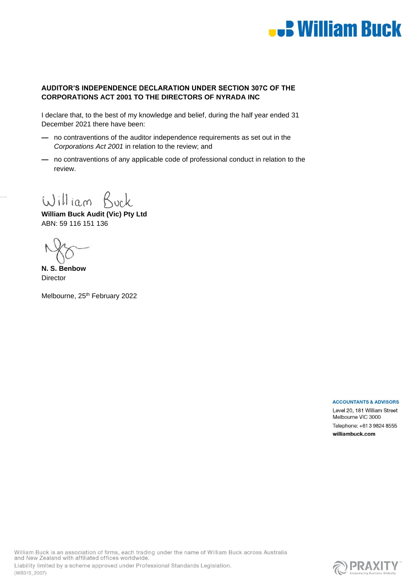

# **AUDITOR'S INDEPENDENCE DECLARATION UNDER SECTION 307C OF THE CORPORATIONS ACT 2001 TO THE DIRECTORS OF NYRADA INC**

I declare that, to the best of my knowledge and belief, during the half year ended 31 December 2021 there have been:

- **—** no contraventions of the auditor independence requirements as set out in the *Corporations Act 2001* in relation to the review; and
- **—** no contraventions of any applicable code of professional conduct in relation to the review.

William Buck

**William Buck Audit (Vic) Pty Ltd** ABN: 59 116 151 136

**N. S. Benbow Director** 

Melbourne, 25<sup>th</sup> February 2022

**ACCOUNTANTS & ADVISORS** 

Level 20, 181 William Street Melbourne VIC 3000 Telephone: +61 3 9824 8555 williambuck.com

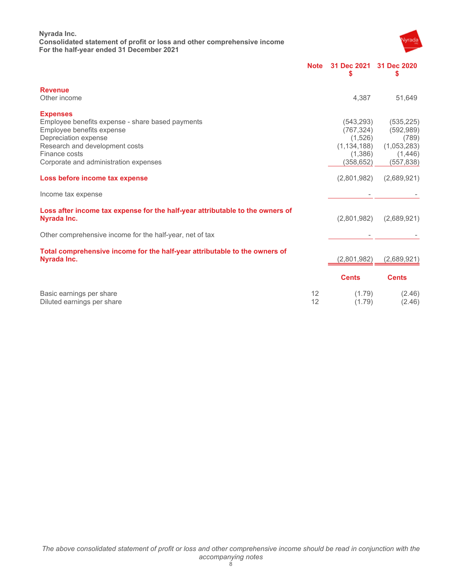**Nyrada Inc. Consolidated statement of profit or loss and other comprehensive income For the half-year ended 31 December 2021** 



|                                                                                              | <b>Note</b> | 31 Dec 2021<br>\$ | 31 Dec 2020<br>\$ |
|----------------------------------------------------------------------------------------------|-------------|-------------------|-------------------|
| <b>Revenue</b>                                                                               |             |                   |                   |
| Other income                                                                                 |             | 4.387             | 51,649            |
| <b>Expenses</b>                                                                              |             |                   |                   |
| Employee benefits expense - share based payments                                             |             | (543,293)         | (535, 225)        |
| Employee benefits expense                                                                    |             | (767, 324)        | (592, 989)        |
| Depreciation expense                                                                         |             | (1,526)           | (789)             |
| Research and development costs                                                               |             | (1, 134, 188)     | (1,053,283)       |
| Finance costs                                                                                |             | (1,386)           | (1, 446)          |
| Corporate and administration expenses                                                        |             | (358,652)         | (557,838)         |
| Loss before income tax expense                                                               |             | (2,801,982)       | (2,689,921)       |
| Income tax expense                                                                           |             |                   |                   |
| Loss after income tax expense for the half-year attributable to the owners of<br>Nyrada Inc. |             | (2,801,982)       | (2,689,921)       |
| Other comprehensive income for the half-year, net of tax                                     |             |                   |                   |
| Total comprehensive income for the half-year attributable to the owners of                   |             |                   |                   |
| Nyrada Inc.                                                                                  |             | (2,801,982)       | (2,689,921)       |
|                                                                                              |             | <b>Cents</b>      | <b>Cents</b>      |
| Basic earnings per share                                                                     | 12          | (1.79)            | (2.46)            |
| Diluted earnings per share                                                                   | 12          | (1.79)            | (2.46)            |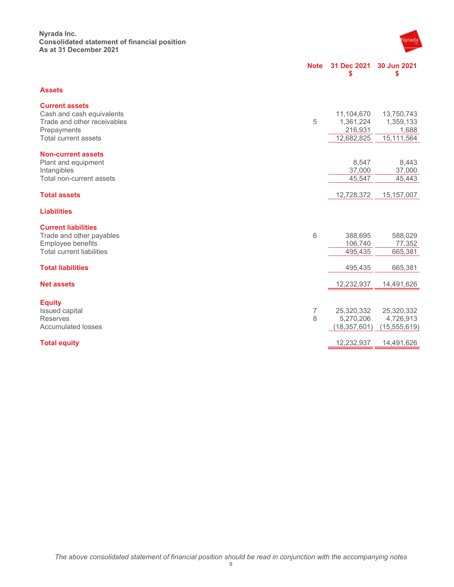## **Nyrada Inc. Consolidated statement of financial position As at 31 December 2021**



|                                                                                                                          | <b>Note</b> | 31 Dec 2021<br>\$                                | 30 Jun 2021<br>\$                              |
|--------------------------------------------------------------------------------------------------------------------------|-------------|--------------------------------------------------|------------------------------------------------|
| <b>Assets</b>                                                                                                            |             |                                                  |                                                |
| <b>Current assets</b><br>Cash and cash equivalents<br>Trade and other receivables<br>Prepayments<br>Total current assets | 5           | 11,104,670<br>1,361,224<br>216,931<br>12,682,825 | 13,750,743<br>1,359,133<br>1,688<br>15,111,564 |
|                                                                                                                          |             |                                                  |                                                |
| <b>Non-current assets</b><br>Plant and equipment<br>Intangibles<br>Total non-current assets                              |             | 8,547<br>37,000<br>45,547                        | 8,443<br>37,000<br>45,443                      |
| <b>Total assets</b>                                                                                                      |             | 12,728,372                                       | 15, 157, 007                                   |
| <b>Liabilities</b>                                                                                                       |             |                                                  |                                                |
| <b>Current liabilities</b><br>Trade and other payables<br>Employee benefits<br><b>Total current liabilities</b>          | 6           | 388,695<br>106,740<br>495,435                    | 588,029<br>77,352<br>665,381                   |
| <b>Total liabilities</b>                                                                                                 |             | 495,435                                          | 665,381                                        |
| <b>Net assets</b>                                                                                                        |             | 12,232,937                                       | 14,491,626                                     |
| <b>Equity</b><br>Issued capital<br><b>Reserves</b><br><b>Accumulated losses</b>                                          | 7<br>8      | 25,320,332<br>5,270,206<br>(18, 357, 601)        | 25,320,332<br>4,726,913<br>(15, 555, 619)      |
| <b>Total equity</b>                                                                                                      |             | 12,232,937                                       | 14,491,626                                     |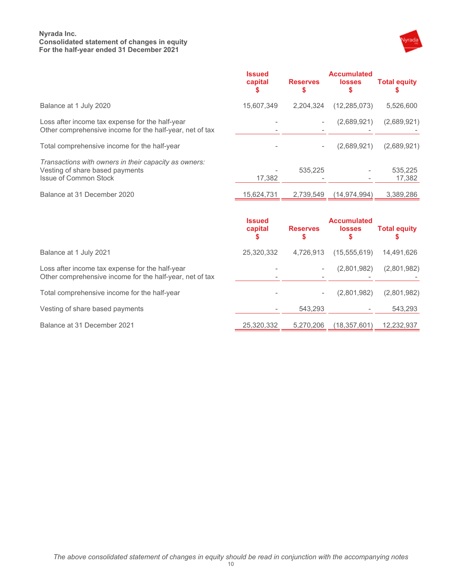## **Nyrada Inc. Consolidated statement of changes in equity For the half-year ended 31 December 2021**



|                                                                                                                          | <b>Issued</b><br>capital | <b>Reserves</b> | <b>Accumulated</b><br><b>losses</b> | <b>Total equity</b> |
|--------------------------------------------------------------------------------------------------------------------------|--------------------------|-----------------|-------------------------------------|---------------------|
| Balance at 1 July 2020                                                                                                   | 15,607,349               | 2,204,324       | (12, 285, 073)                      | 5,526,600           |
| Loss after income tax expense for the half-year<br>Other comprehensive income for the half-year, net of tax              |                          |                 | (2,689,921)                         | (2,689,921)         |
| Total comprehensive income for the half-year                                                                             |                          |                 | (2,689,921)                         | (2,689,921)         |
| Transactions with owners in their capacity as owners:<br>Vesting of share based payments<br><b>Issue of Common Stock</b> | 17.382                   | 535.225         |                                     | 535,225<br>17,382   |
| Balance at 31 December 2020                                                                                              | 15,624,731               | 2,739,549       | (14, 974, 994)                      | 3,389,286           |
|                                                                                                                          | <b>Issued</b><br>capital | <b>Reserves</b> | <b>Accumulated</b><br><b>losses</b> | <b>Total equity</b> |

| Balance at 1 July 2021                                                                                      | 25.320.332                    |   | 4,726,913 (15,555,619) 14,491,626     |  |
|-------------------------------------------------------------------------------------------------------------|-------------------------------|---|---------------------------------------|--|
| Loss after income tax expense for the half-year<br>Other comprehensive income for the half-year, net of tax | $\overline{\phantom{a}}$<br>- | - | $(2,801,982)$ $(2,801,982)$<br>$\sim$ |  |
| Total comprehensive income for the half-year                                                                | $\overline{\phantom{a}}$      |   | (2,801,982) (2,801,982                |  |

Vesting of share based payments and the state of the state of the state of the state of the state of the state of the state of the state of the state of the state of the state of the state of the state of the state of the

Balance at 31 December 2021 25,320,332 5,270,206 (18,357,601) 12,232,937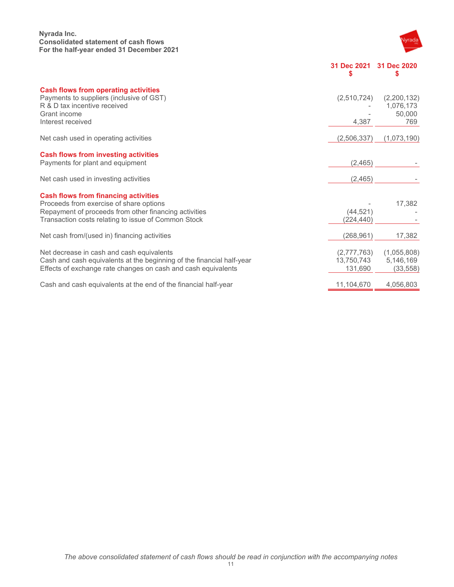## **Nyrada Inc. Consolidated statement of cash flows For the half-year ended 31 December 2021**



**31 Dec 2021 31 Dec 2020 \$ \$** 

| <b>Cash flows from operating activities</b><br>Payments to suppliers (inclusive of GST)<br>R & D tax incentive received<br>Grant income<br>Interest received                                           | (2,510,724)<br>4,387                 | (2, 200, 132)<br>1,076,173<br>50,000<br>769 |
|--------------------------------------------------------------------------------------------------------------------------------------------------------------------------------------------------------|--------------------------------------|---------------------------------------------|
| Net cash used in operating activities                                                                                                                                                                  | (2,506,337)                          | (1,073,190)                                 |
| <b>Cash flows from investing activities</b><br>Payments for plant and equipment                                                                                                                        | (2, 465)                             |                                             |
| Net cash used in investing activities                                                                                                                                                                  | (2,465)                              |                                             |
| <b>Cash flows from financing activities</b><br>Proceeds from exercise of share options<br>Repayment of proceeds from other financing activities<br>Transaction costs relating to issue of Common Stock | (44, 521)<br>(224,440)               | 17,382                                      |
| Net cash from/(used in) financing activities                                                                                                                                                           | (268,961)                            | 17,382                                      |
| Net decrease in cash and cash equivalents<br>Cash and cash equivalents at the beginning of the financial half-year<br>Effects of exchange rate changes on cash and cash equivalents                    | (2,777,763)<br>13,750,743<br>131,690 | (1,055,808)<br>5,146,169<br>(33, 558)       |
| Cash and cash equivalents at the end of the financial half-year                                                                                                                                        | 11,104,670                           | 4,056,803                                   |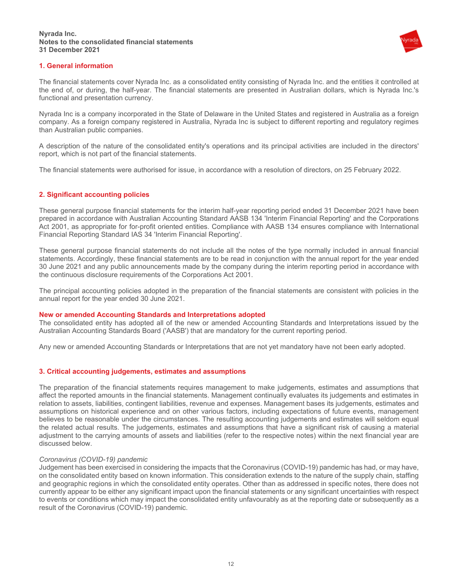

## **1. General information**

The financial statements cover Nyrada Inc. as a consolidated entity consisting of Nyrada Inc. and the entities it controlled at the end of, or during, the half-year. The financial statements are presented in Australian dollars, which is Nyrada Inc.'s functional and presentation currency.

Nyrada Inc is a company incorporated in the State of Delaware in the United States and registered in Australia as a foreign company. As a foreign company registered in Australia, Nyrada Inc is subject to different reporting and regulatory regimes than Australian public companies.

A description of the nature of the consolidated entity's operations and its principal activities are included in the directors' report, which is not part of the financial statements.

The financial statements were authorised for issue, in accordance with a resolution of directors, on 25 February 2022.

## **2. Significant accounting policies**

These general purpose financial statements for the interim half-year reporting period ended 31 December 2021 have been prepared in accordance with Australian Accounting Standard AASB 134 'Interim Financial Reporting' and the Corporations Act 2001, as appropriate for for-profit oriented entities. Compliance with AASB 134 ensures compliance with International Financial Reporting Standard IAS 34 'Interim Financial Reporting'.

These general purpose financial statements do not include all the notes of the type normally included in annual financial statements. Accordingly, these financial statements are to be read in conjunction with the annual report for the year ended 30 June 2021 and any public announcements made by the company during the interim reporting period in accordance with the continuous disclosure requirements of the Corporations Act 2001.

The principal accounting policies adopted in the preparation of the financial statements are consistent with policies in the annual report for the year ended 30 June 2021.

#### **New or amended Accounting Standards and Interpretations adopted**

The consolidated entity has adopted all of the new or amended Accounting Standards and Interpretations issued by the Australian Accounting Standards Board ('AASB') that are mandatory for the current reporting period.

Any new or amended Accounting Standards or Interpretations that are not yet mandatory have not been early adopted.

#### **3. Critical accounting judgements, estimates and assumptions**

The preparation of the financial statements requires management to make judgements, estimates and assumptions that affect the reported amounts in the financial statements. Management continually evaluates its judgements and estimates in relation to assets, liabilities, contingent liabilities, revenue and expenses. Management bases its judgements, estimates and assumptions on historical experience and on other various factors, including expectations of future events, management believes to be reasonable under the circumstances. The resulting accounting judgements and estimates will seldom equal the related actual results. The judgements, estimates and assumptions that have a significant risk of causing a material adjustment to the carrying amounts of assets and liabilities (refer to the respective notes) within the next financial year are discussed below.

#### *Coronavirus (COVID-19) pandemic*

Judgement has been exercised in considering the impacts that the Coronavirus (COVID-19) pandemic has had, or may have, on the consolidated entity based on known information. This consideration extends to the nature of the supply chain, staffing and geographic regions in which the consolidated entity operates. Other than as addressed in specific notes, there does not currently appear to be either any significant impact upon the financial statements or any significant uncertainties with respect to events or conditions which may impact the consolidated entity unfavourably as at the reporting date or subsequently as a result of the Coronavirus (COVID-19) pandemic.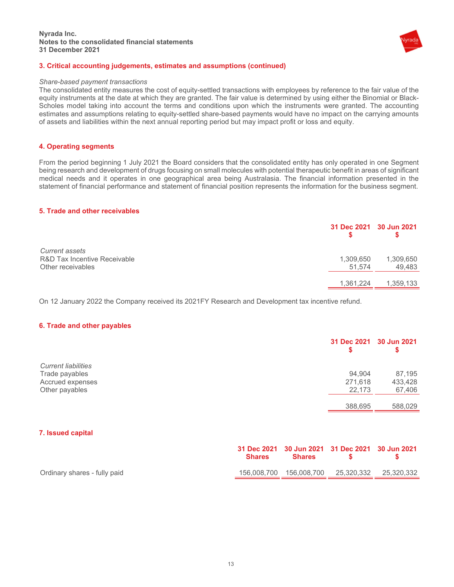

## **3. Critical accounting judgements, estimates and assumptions (continued)**

#### *Share-based payment transactions*

The consolidated entity measures the cost of equity-settled transactions with employees by reference to the fair value of the equity instruments at the date at which they are granted. The fair value is determined by using either the Binomial or Black-Scholes model taking into account the terms and conditions upon which the instruments were granted. The accounting estimates and assumptions relating to equity-settled share-based payments would have no impact on the carrying amounts of assets and liabilities within the next annual reporting period but may impact profit or loss and equity.

## **4. Operating segments**

From the period beginning 1 July 2021 the Board considers that the consolidated entity has only operated in one Segment being research and development of drugs focusing on small molecules with potential therapeutic benefit in areas of significant medical needs and it operates in one geographical area being Australasia. The financial information presented in the statement of financial performance and statement of financial position represents the information for the business segment.

#### **5. Trade and other receivables**

|                                                                            |                     | 31 Dec 2021 30 Jun 2021 |
|----------------------------------------------------------------------------|---------------------|-------------------------|
| <b>Current assets</b><br>R&D Tax Incentive Receivable<br>Other receivables | 1,309,650<br>51,574 | 1,309,650<br>49,483     |
|                                                                            | 1,361,224           | 1,359,133               |

On 12 January 2022 the Company received its 2021FY Research and Development tax incentive refund.

#### **6. Trade and other payables**

|                            | 31 Dec 2021 30 Jun 2021 | S       |
|----------------------------|-------------------------|---------|
| <b>Current liabilities</b> |                         |         |
| Trade payables             | 94,904                  | 87,195  |
| Accrued expenses           | 271,618                 | 433,428 |
| Other payables             | 22,173                  | 67,406  |
|                            | 388,695                 | 588,029 |

## **7. Issued capital**

|                              | 31 Dec 2021 30 Jun 2021 31 Dec 2021 30 Jun 2021<br><b>Shares</b> | <b>Shares</b> |                                                  |
|------------------------------|------------------------------------------------------------------|---------------|--------------------------------------------------|
| Ordinary shares - fully paid |                                                                  |               | 156,008,700  156,008,700  25,320,332  25,320,332 |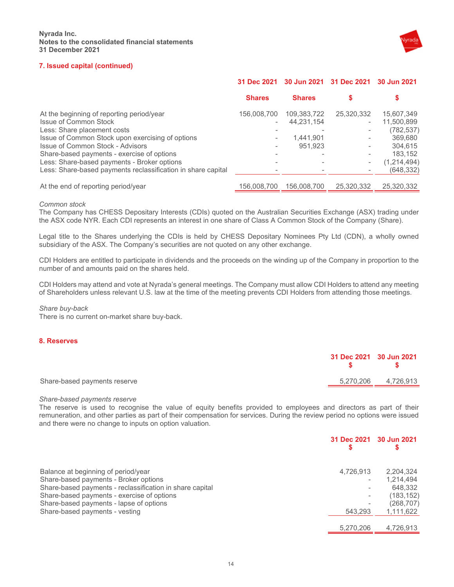

## **7. Issued capital (continued)**

|                                                                                                                                                                                                                                                                                        | 31 Dec 2021                                            | 30 Jun 2021                                       | 31 Dec 2021                                      | 30 Jun 2021                                                                            |
|----------------------------------------------------------------------------------------------------------------------------------------------------------------------------------------------------------------------------------------------------------------------------------------|--------------------------------------------------------|---------------------------------------------------|--------------------------------------------------|----------------------------------------------------------------------------------------|
|                                                                                                                                                                                                                                                                                        | <b>Shares</b>                                          | <b>Shares</b>                                     |                                                  | \$                                                                                     |
| At the beginning of reporting period/year<br>Issue of Common Stock<br>Less: Share placement costs<br>Issue of Common Stock upon exercising of options<br>Issue of Common Stock - Advisors<br>Share-based payments - exercise of options<br>Less: Share-based payments - Broker options | 156,008,700<br>$\overline{\phantom{a}}$<br>-<br>۰<br>۰ | 109,383,722<br>44.231.154<br>1,441,901<br>951.923 | 25,320,332<br>$\sim$<br>$\overline{\phantom{a}}$ | 15,607,349<br>11.500.899<br>(782, 537)<br>369,680<br>304.615<br>183.152<br>(1,214,494) |
| Less: Share-based payments reclassification in share capital                                                                                                                                                                                                                           |                                                        |                                                   |                                                  | (648, 332)                                                                             |
| At the end of reporting period/year                                                                                                                                                                                                                                                    | 156.008.700                                            | 156.008.700                                       | 25,320,332                                       | 25,320,332                                                                             |

#### *Common stock*

The Company has CHESS Depositary Interests (CDIs) quoted on the Australian Securities Exchange (ASX) trading under the ASX code NYR. Each CDI represents an interest in one share of Class A Common Stock of the Company (Share).

Legal title to the Shares underlying the CDIs is held by CHESS Depositary Nominees Pty Ltd (CDN), a wholly owned subsidiary of the ASX. The Company's securities are not quoted on any other exchange.

CDI Holders are entitled to participate in dividends and the proceeds on the winding up of the Company in proportion to the number of and amounts paid on the shares held.

CDI Holders may attend and vote at Nyrada's general meetings. The Company must allow CDI Holders to attend any meeting of Shareholders unless relevant U.S. law at the time of the meeting prevents CDI Holders from attending those meetings.

#### *Share buy-back*

There is no current on-market share buy-back.

## **8. Reserves**

|                              | 31 Dec 2021 30 Jun 2021 | $\sim$ S            |
|------------------------------|-------------------------|---------------------|
| Share-based payments reserve |                         | 5.270.206 4.726.913 |
|                              |                         |                     |

#### *Share-based payments reserve*

The reserve is used to recognise the value of equity benefits provided to employees and directors as part of their remuneration, and other parties as part of their compensation for services. During the review period no options were issued and there were no change to inputs on option valuation.

|                                                          | 31 Dec 2021 | 30 Jun 2021 |
|----------------------------------------------------------|-------------|-------------|
| Balance at beginning of period/year                      | 4,726,913   | 2,204,324   |
| Share-based payments - Broker options                    | ۰           | 1.214.494   |
| Share-based payments - reclassification in share capital |             | 648.332     |
| Share-based payments - exercise of options               |             | (183, 152)  |
| Share-based payments - lapse of options                  |             | (268, 707)  |
| Share-based payments - vesting                           | 543.293     | 1,111,622   |
|                                                          |             |             |
|                                                          | 5,270,206   | 4,726,913   |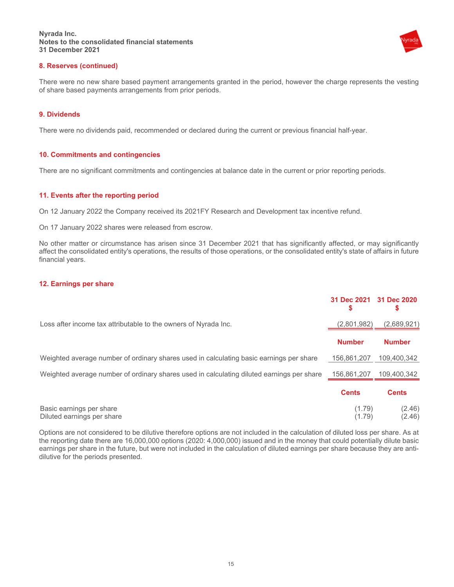

## **8. Reserves (continued)**

There were no new share based payment arrangements granted in the period, however the charge represents the vesting of share based payments arrangements from prior periods.

## **9. Dividends**

There were no dividends paid, recommended or declared during the current or previous financial half-year.

## **10. Commitments and contingencies**

There are no significant commitments and contingencies at balance date in the current or prior reporting periods.

#### **11. Events after the reporting period**

On 12 January 2022 the Company received its 2021FY Research and Development tax incentive refund.

On 17 January 2022 shares were released from escrow.

No other matter or circumstance has arisen since 31 December 2021 that has significantly affected, or may significantly affect the consolidated entity's operations, the results of those operations, or the consolidated entity's state of affairs in future financial years.

#### **12. Earnings per share**

|                                                                                           | 31 Dec 2021 31 Dec 2020<br>S | S                |
|-------------------------------------------------------------------------------------------|------------------------------|------------------|
| Loss after income tax attributable to the owners of Nyrada Inc.                           | (2,801,982)                  | (2,689,921)      |
|                                                                                           | <b>Number</b>                | <b>Number</b>    |
| Weighted average number of ordinary shares used in calculating basic earnings per share   | 156,861,207                  | 109.400.342      |
| Weighted average number of ordinary shares used in calculating diluted earnings per share | 156,861,207                  | 109,400,342      |
|                                                                                           | <b>Cents</b>                 | <b>Cents</b>     |
| Basic earnings per share<br>Diluted earnings per share                                    | (1.79)<br>(1.79)             | (2.46)<br>(2.46) |

Options are not considered to be dilutive therefore options are not included in the calculation of diluted loss per share. As at the reporting date there are 16,000,000 options (2020: 4,000,000) issued and in the money that could potentially dilute basic earnings per share in the future, but were not included in the calculation of diluted earnings per share because they are antidilutive for the periods presented.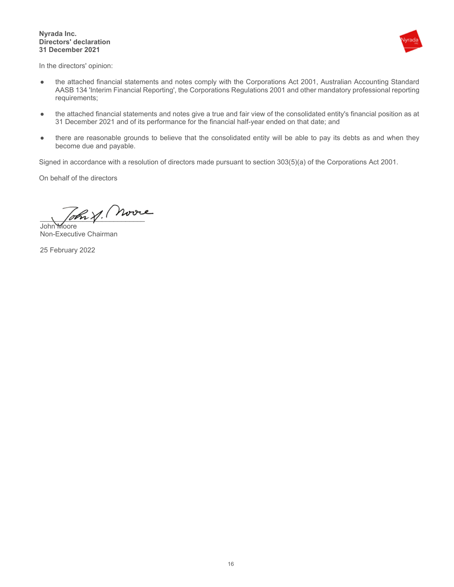#### **Nyrada Inc. Directors' declaration 31 December 2021**



In the directors' opinion:

- the attached financial statements and notes comply with the Corporations Act 2001, Australian Accounting Standard AASB 134 'Interim Financial Reporting', the Corporations Regulations 2001 and other mandatory professional reporting requirements;
- the attached financial statements and notes give a true and fair view of the consolidated entity's financial position as at 31 December 2021 and of its performance for the financial half-year ended on that date; and
- there are reasonable grounds to believe that the consolidated entity will be able to pay its debts as and when they become due and payable.

Signed in accordance with a resolution of directors made pursuant to section 303(5)(a) of the Corporations Act 2001.

On behalf of the directors

\_\_\_\_\_\_\_\_\_\_\_\_\_\_\_\_\_\_\_\_\_\_\_\_\_\_\_  $\overline{\mathsf{John}}$ 

Non-Executive Chairman

25 February 2022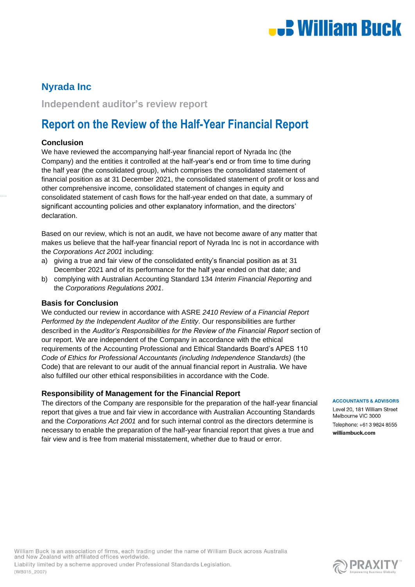

# **Nyrada Inc**

**Independent auditor's review report**

# **Report on the Review of the Half-Year Financial Report**

## **Conclusion**

We have reviewed the accompanying half-year financial report of Nyrada Inc (the Company) and the entities it controlled at the half-year's end or from time to time during the half year (the consolidated group), which comprises the consolidated statement of financial position as at 31 December 2021, the consolidated statement of profit or loss and other comprehensive income, consolidated statement of changes in equity and consolidated statement of cash flows for the half-year ended on that date, a summary of significant accounting policies and other explanatory information, and the directors' declaration.

Based on our review, which is not an audit, we have not become aware of any matter that makes us believe that the half-year financial report of Nyrada Inc is not in accordance with the *Corporations Act 2001* including:

- a) giving a true and fair view of the consolidated entity's financial position as at 31 December 2021 and of its performance for the half year ended on that date; and
- b) complying with Australian Accounting Standard 134 *Interim Financial Reporting* and the *Corporations Regulations 2001*.

## **Basis for Conclusion**

We conducted our review in accordance with ASRE *2410 Review of a Financial Report Performed by the Independent Auditor of the Entity*. Our responsibilities are further described in the *Auditor's Responsibilities for the Review of the Financial Report* section of our report. We are independent of the Company in accordance with the ethical requirements of the Accounting Professional and Ethical Standards Board's APES 110 *Code of Ethics for Professional Accountants (including Independence Standards)* (the Code) that are relevant to our audit of the annual financial report in Australia. We have also fulfilled our other ethical responsibilities in accordance with the Code.

# **Responsibility of Management for the Financial Report**

The directors of the Company are responsible for the preparation of the half-year financial report that gives a true and fair view in accordance with Australian Accounting Standards and the *Corporations Act 2001* and for such internal control as the directors determine is necessary to enable the preparation of the half-year financial report that gives a true and fair view and is free from material misstatement, whether due to fraud or error.

**ACCOUNTANTS & ADVISORS** 

Level 20, 181 William Street Melbourne VIC 3000 Telephone: +61 3 9824 8555 williambuck.com